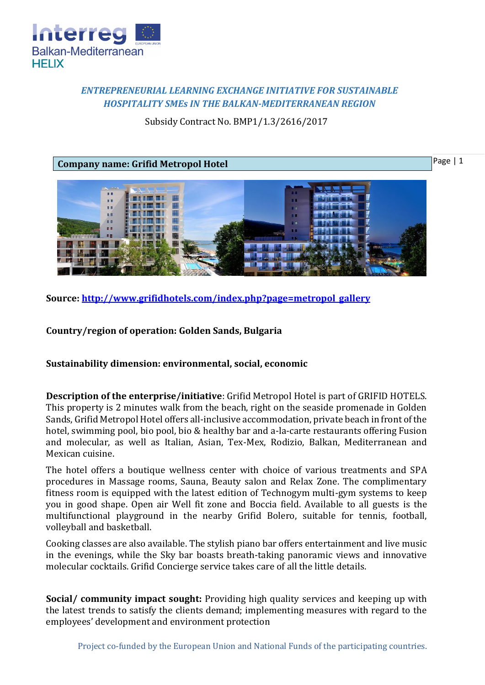

## *ENTREPRENEURIAL LEARNING EXCHANGE INITIATIVE FOR SUSTAINABLE HOSPITALITY SMEs IN THE BALKAN-MEDITERRANEAN REGION*

Subsidy Contract No. BMP1/1.3/2616/2017



**Source: [http://www.grifidhotels.com/index.php?page=metropol\\_gallery](http://www.grifidhotels.com/index.php?page=metropol_gallery)**

**Country/region of operation: Golden Sands, Bulgaria**

**Sustainability dimension: environmental, social, economic**

**Description of the enterprise/initiative**: Grifid Metropol Hotel is part of GRIFID HOTELS. This property is 2 minutes walk from the beach, right on the seaside promenade in Golden Sands, Grifid Metropol Hotel offers all-inclusive accommodation, private beach in front of the hotel, swimming pool, bio pool, bio & healthy bar and a-la-carte restaurants offering Fusion and molecular, as well as Italian, Asian, Tex-Mex, Rodizio, Balkan, Mediterranean and Mexican cuisine.

The hotel offers a boutique wellness center with choice of various treatments and SPA procedures in Massage rooms, Sauna, Beauty salon and Relax Zone. The complimentary fitness room is equipped with the latest edition of Technogym multi-gym systems to keep you in good shape. Open air Well fit zone and Boccia field. Available to all guests is the multifunctional playground in the nearby Grifid Bolero, suitable for tennis, football, volleyball and basketball.

Cooking classes are also available. The stylish piano bar offers entertainment and live music in the evenings, while the Sky bar boasts breath-taking panoramic views and innovative molecular cocktails. Grifid Concierge service takes care of all the little details.

**Social/ community impact sought:** Providing high quality services and keeping up with the latest trends to satisfy the clients demand; implementing measures with regard to the employees' development and environment protection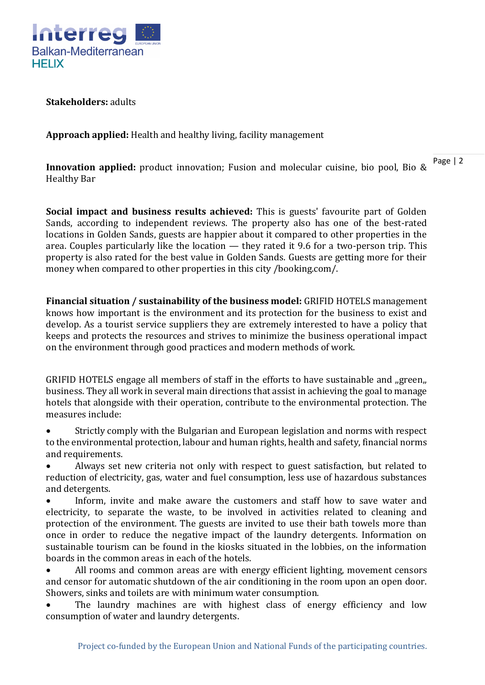

**Stakeholders:** adults

**Approach applied:** Health and healthy living, facility management

**Innovation applied:** product innovation; Fusion and molecular cuisine, bio pool, Bio & Healthy Bar

**Social impact and business results achieved:** This is guests' favourite part of Golden Sands, according to independent reviews. The property also has one of the best-rated locations in Golden Sands, guests are happier about it compared to other properties in the area. Couples particularly like the location — they rated it 9.6 for a two-person trip. This property is also rated for the best value in Golden Sands. Guests are getting more for their money when compared to other properties in this city /booking.com/.

**Financial situation / sustainability of the business model:** GRIFID HOTELS management knows how important is the environment and its protection for the business to exist and develop. As a tourist service suppliers they are extremely interested to have a policy that keeps and protects the resources and strives to minimize the business operational impact on the environment through good practices and modern methods of work.

GRIFID HOTELS engage all members of staff in the efforts to have sustainable and "green. business. They all work in several main directions that assist in achieving the goal to manage hotels that alongside with their operation, contribute to the environmental protection. The measures include:

 Strictly comply with the Bulgarian and European legislation and norms with respect to the environmental protection, labour and human rights, health and safety, financial norms and requirements.

 Always set new criteria not only with respect to guest satisfaction, but related to reduction of electricity, gas, water and fuel consumption, less use of hazardous substances and detergents.

 Inform, invite and make aware the customers and staff how to save water and electricity, to separate the waste, to be involved in activities related to cleaning and protection of the environment. The guests are invited to use their bath towels more than once in order to reduce the negative impact of the laundry detergents. Information on sustainable tourism can be found in the kiosks situated in the lobbies, on the information boards in the common areas in each of the hotels.

• All rooms and common areas are with energy efficient lighting, movement censors and censor for automatic shutdown of the air conditioning in the room upon an open door. Showers, sinks and toilets are with minimum water consumption.

• The laundry machines are with highest class of energy efficiency and low consumption of water and laundry detergents.